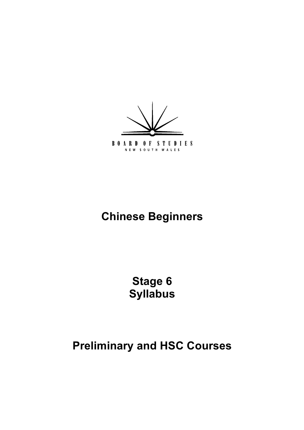

# **Chinese Beginners**

**Stage 6 Syllabus**

# **Preliminary and HSC Courses**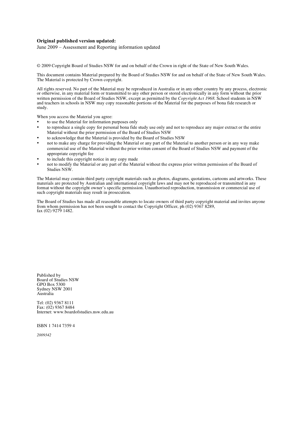#### **Original published version updated:**

June 2009 – Assessment and Reporting information updated

© 2009 Copyright Board of Studies NSW for and on behalf of the Crown in right of the State of New South Wales.

This document contains Material prepared by the Board of Studies NSW for and on behalf of the State of New South Wales. The Material is protected by Crown copyright.

All rights reserved. No part of the Material may be reproduced in Australia or in any other country by any process, electronic or otherwise, in any material form or transmitted to any other person or stored electronically in any form without the prior written permission of the Board of Studies NSW, except as permitted by the *Copyright Act 1968*. School students in NSW and teachers in schools in NSW may copy reasonable portions of the Material for the purposes of bona fide research or study.

When you access the Material you agree:

- to use the Material for information purposes only
- to reproduce a single copy for personal bona fide study use only and not to reproduce any major extract or the entire Material without the prior permission of the Board of Studies NSW
- to acknowledge that the Material is provided by the Board of Studies NSW
- not to make any charge for providing the Material or any part of the Material to another person or in any way make commercial use of the Material without the prior written consent of the Board of Studies NSW and payment of the appropriate copyright fee
- to include this copyright notice in any copy made
- not to modify the Material or any part of the Material without the express prior written permission of the Board of Studies NSW.

The Material may contain third party copyright materials such as photos, diagrams, quotations, cartoons and artworks. These materials are protected by Australian and international copyright laws and may not be reproduced or transmitted in any format without the copyright owner's specific permission. Unauthorised reproduction, transmission or commercial use of such copyright materials may result in prosecution.

The Board of Studies has made all reasonable attempts to locate owners of third party copyright material and invites anyone from whom permission has not been sought to contact the Copyright Officer, ph (02) 9367 8289, fax (02) 9279 1482.

Published by Board of Studies NSW GPO Box 5300 Sydney NSW 2001 Australia

Tel: (02) 9367 8111 Fax: (02) 9367 8484 Internet: www.boardofstudies.nsw.edu.au

ISBN 1 7414 7359 4

*2009342*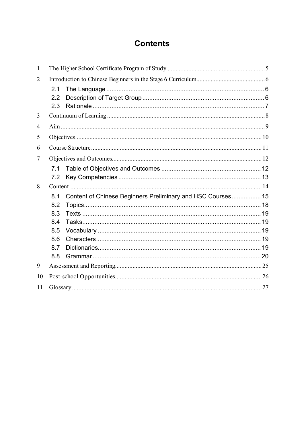## **Contents**

| $\mathbf{1}$   |     |                                                             |  |
|----------------|-----|-------------------------------------------------------------|--|
| $\overline{2}$ |     |                                                             |  |
|                | 2.1 |                                                             |  |
|                | 2.2 |                                                             |  |
|                | 2.3 |                                                             |  |
| 3              |     |                                                             |  |
| 4              |     |                                                             |  |
| 5              |     |                                                             |  |
| 6              |     |                                                             |  |
| 7              |     |                                                             |  |
|                | 7.1 |                                                             |  |
|                | 7.2 |                                                             |  |
| 8              |     |                                                             |  |
|                | 8.1 | Content of Chinese Beginners Preliminary and HSC Courses 15 |  |
|                | 8.2 |                                                             |  |
|                | 8.3 |                                                             |  |
|                | 8.4 |                                                             |  |
|                | 8.5 |                                                             |  |
|                | 8.6 |                                                             |  |
|                | 8.7 |                                                             |  |
|                | 8.8 |                                                             |  |
| 9              |     |                                                             |  |
| 10             |     |                                                             |  |
| 11             |     |                                                             |  |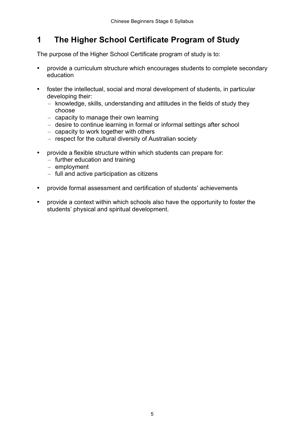## **1 The Higher School Certificate Program of Study**

The purpose of the Higher School Certificate program of study is to:

- provide a curriculum structure which encourages students to complete secondary education
- foster the intellectual, social and moral development of students, in particular developing their:
	- knowledge, skills, understanding and attitudes in the fields of study they choose
	- capacity to manage their own learning
	- desire to continue learning in formal or informal settings after school
	- capacity to work together with others
	- respect for the cultural diversity of Australian society
- provide a flexible structure within which students can prepare for:
	- further education and training
	- employment
	- full and active participation as citizens
- provide formal assessment and certification of students' achievements
- provide a context within which schools also have the opportunity to foster the students' physical and spiritual development.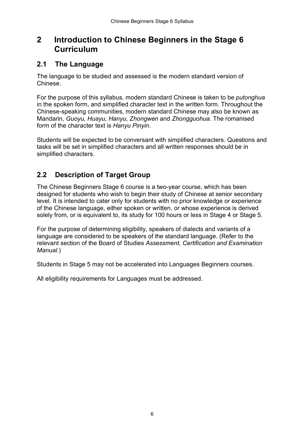### **2 Introduction to Chinese Beginners in the Stage 6 Curriculum**

### **2.1 The Language**

The language to be studied and assessed is the modern standard version of Chinese.

For the purpose of this syllabus, modern standard Chinese is taken to be *putonghua* in the spoken form, and simplified character text in the written form. Throughout the Chinese-speaking communities, modern standard Chinese may also be known as Mandarin*, Guoyu, Huayu, Hanyu, Zhongwen* and *Zhongguohua*. The romanised form of the character text is *Hanyu Pinyin*.

Students will be expected to be conversant with simplified characters. Questions and tasks will be set in simplified characters and all written responses should be in simplified characters.

### **2.2 Description of Target Group**

The Chinese Beginners Stage 6 course is a two-year course, which has been designed for students who wish to begin their study of Chinese at senior secondary level. It is intended to cater only for students with no prior knowledge or experience of the Chinese language, either spoken or written, or whose experience is derived solely from, or is equivalent to, its study for 100 hours or less in Stage 4 or Stage 5.

For the purpose of determining eligibility, speakers of dialects and variants of a language are considered to be speakers of the standard language. (Refer to the relevant section of the Board of Studies *Assessment, Certification and Examination Manual.*)

Students in Stage 5 may not be accelerated into Languages Beginners courses.

All eligibility requirements for Languages must be addressed.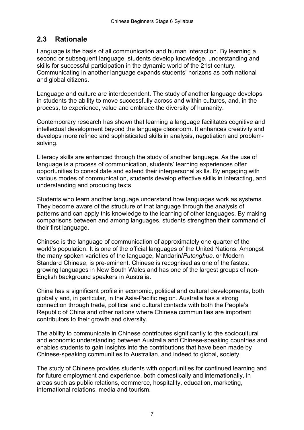### **2.3 Rationale**

Language is the basis of all communication and human interaction. By learning a second or subsequent language, students develop knowledge, understanding and skills for successful participation in the dynamic world of the 21st century. Communicating in another language expands students' horizons as both national and global citizens.

Language and culture are interdependent. The study of another language develops in students the ability to move successfully across and within cultures, and, in the process, to experience, value and embrace the diversity of humanity.

Contemporary research has shown that learning a language facilitates cognitive and intellectual development beyond the language classroom. It enhances creativity and develops more refined and sophisticated skills in analysis, negotiation and problemsolving.

Literacy skills are enhanced through the study of another language. As the use of language is a process of communication, students' learning experiences offer opportunities to consolidate and extend their interpersonal skills. By engaging with various modes of communication, students develop effective skills in interacting, and understanding and producing texts.

Students who learn another language understand how languages work as systems. They become aware of the structure of that language through the analysis of patterns and can apply this knowledge to the learning of other languages. By making comparisons between and among languages, students strengthen their command of their first language.

Chinese is the language of communication of approximately one quarter of the world's population. It is one of the official languages of the United Nations. Amongst the many spoken varieties of the language, Mandarin/*Putonghua*, or Modern Standard Chinese, is pre-eminent. Chinese is recognised as one of the fastest growing languages in New South Wales and has one of the largest groups of non-English background speakers in Australia.

China has a significant profile in economic, political and cultural developments, both globally and, in particular, in the Asia-Pacific region. Australia has a strong connection through trade, political and cultural contacts with both the People's Republic of China and other nations where Chinese communities are important contributors to their growth and diversity.

The ability to communicate in Chinese contributes significantly to the sociocultural and economic understanding between Australia and Chinese-speaking countries and enables students to gain insights into the contributions that have been made by Chinese-speaking communities to Australian, and indeed to global, society.

The study of Chinese provides students with opportunities for continued learning and for future employment and experience, both domestically and internationally, in areas such as public relations, commerce, hospitality, education, marketing, international relations, media and tourism.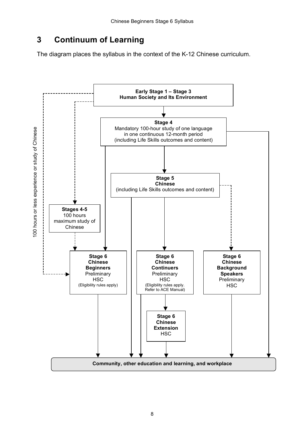## **3 Continuum of Learning**

The diagram places the syllabus in the context of the K-12 Chinese curriculum.

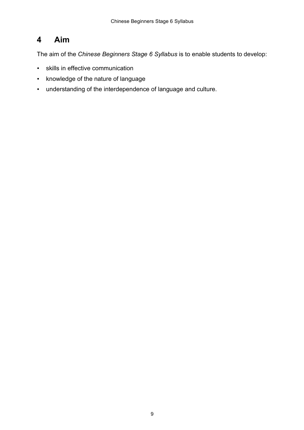## **4 Aim**

The aim of the *Chinese Beginners Stage 6 Syllabus* is to enable students to develop:

- skills in effective communication
- knowledge of the nature of language
- understanding of the interdependence of language and culture.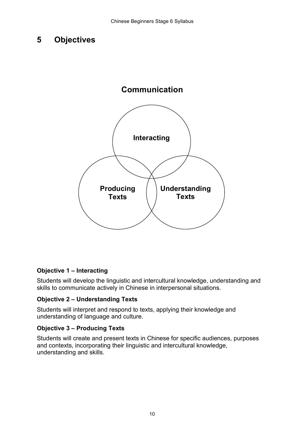### **5 Objectives**



#### **Objective 1 – Interacting**

Students will develop the linguistic and intercultural knowledge, understanding and skills to communicate actively in Chinese in interpersonal situations.

#### **Objective 2 – Understanding Texts**

Students will interpret and respond to texts, applying their knowledge and understanding of language and culture.

#### **Objective 3 – Producing Texts**

Students will create and present texts in Chinese for specific audiences, purposes and contexts, incorporating their linguistic and intercultural knowledge, understanding and skills.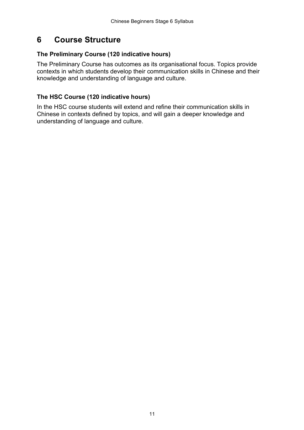## **6 Course Structure**

#### **The Preliminary Course (120 indicative hours)**

The Preliminary Course has outcomes as its organisational focus. Topics provide contexts in which students develop their communication skills in Chinese and their knowledge and understanding of language and culture.

#### **The HSC Course (120 indicative hours)**

In the HSC course students will extend and refine their communication skills in Chinese in contexts defined by topics, and will gain a deeper knowledge and understanding of language and culture.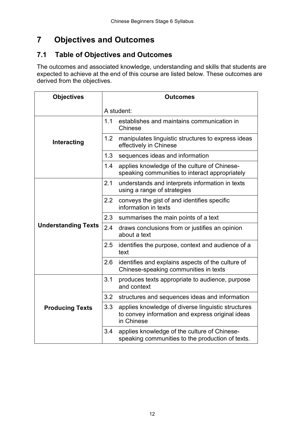## **7 Objectives and Outcomes**

### **7.1 Table of Objectives and Outcomes**

The outcomes and associated knowledge, understanding and skills that students are expected to achieve at the end of this course are listed below. These outcomes are derived from the objectives.

| <b>Objectives</b>          | <b>Outcomes</b> |                                                                                                                      |  |  |
|----------------------------|-----------------|----------------------------------------------------------------------------------------------------------------------|--|--|
|                            | A student:      |                                                                                                                      |  |  |
|                            | 1.1             | establishes and maintains communication in<br>Chinese                                                                |  |  |
| Interacting                | 1.2             | manipulates linguistic structures to express ideas<br>effectively in Chinese                                         |  |  |
|                            | 1.3             | sequences ideas and information                                                                                      |  |  |
|                            | 1.4             | applies knowledge of the culture of Chinese-<br>speaking communities to interact appropriately                       |  |  |
|                            | 2.1             | understands and interprets information in texts<br>using a range of strategies                                       |  |  |
|                            | 2.2             | conveys the gist of and identifies specific<br>information in texts                                                  |  |  |
|                            | 2.3             | summarises the main points of a text                                                                                 |  |  |
| <b>Understanding Texts</b> | 2.4             | draws conclusions from or justifies an opinion<br>about a text                                                       |  |  |
|                            | 2.5             | identifies the purpose, context and audience of a<br>text                                                            |  |  |
|                            | 2.6             | identifies and explains aspects of the culture of<br>Chinese-speaking communities in texts                           |  |  |
|                            | 3.1             | produces texts appropriate to audience, purpose<br>and context                                                       |  |  |
|                            | 3.2             | structures and sequences ideas and information                                                                       |  |  |
| <b>Producing Texts</b>     | 3.3             | applies knowledge of diverse linguistic structures<br>to convey information and express original ideas<br>in Chinese |  |  |
|                            | 3.4             | applies knowledge of the culture of Chinese-<br>speaking communities to the production of texts.                     |  |  |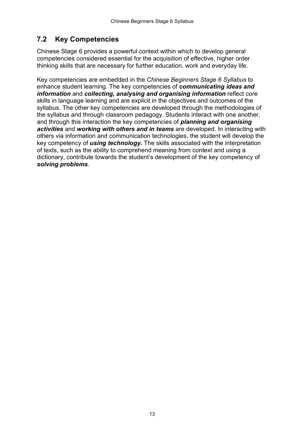### **7.2 Key Competencies**

Chinese Stage 6 provides a powerful context within which to develop general competencies considered essential for the acquisition of effective, higher order thinking skills that are necessary for further education, work and everyday life.

Key competencies are embedded in the *Chinese Beginners Stage 6 Syllabus* to enhance student learning. The key competencies of *communicating ideas and information* and *collecting, analysing and organising information* reflect core skills in language learning and are explicit in the objectives and outcomes of the syllabus. The other key competencies are developed through the methodologies of the syllabus and through classroom pedagogy. Students interact with one another, and through this interaction the key competencies of *planning and organising activities* and *working with others and in teams* are developed. In interacting with others via information and communication technologies, the student will develop the key competency of *using technology.* The skills associated with the interpretation of texts, such as the ability to comprehend meaning from context and using a dictionary, contribute towards the student's development of the key competency of *solving problems*.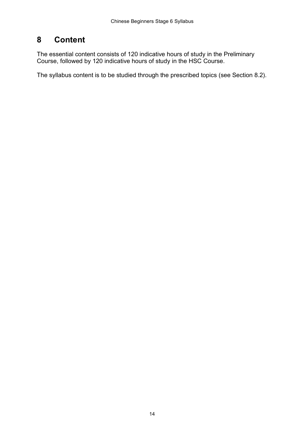## **8 Content**

The essential content consists of 120 indicative hours of study in the Preliminary Course, followed by 120 indicative hours of study in the HSC Course.

The syllabus content is to be studied through the prescribed topics (see Section 8.2).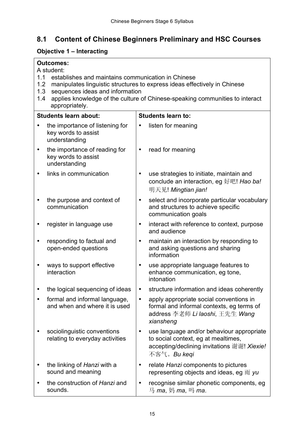## **8.1 Content of Chinese Beginners Preliminary and HSC Courses**

### **Objective 1 – Interacting**

|           | <b>Outcomes:</b>                                                                                                                                                                                                                                                                                               |           |                                                                                                                                                |  |  |
|-----------|----------------------------------------------------------------------------------------------------------------------------------------------------------------------------------------------------------------------------------------------------------------------------------------------------------------|-----------|------------------------------------------------------------------------------------------------------------------------------------------------|--|--|
|           | A student:<br>1.1<br>establishes and maintains communication in Chinese<br>manipulates linguistic structures to express ideas effectively in Chinese<br>1.2<br>1.3<br>sequences ideas and information<br>applies knowledge of the culture of Chinese-speaking communities to interact<br>1.4<br>appropriately. |           |                                                                                                                                                |  |  |
|           | <b>Students learn about:</b>                                                                                                                                                                                                                                                                                   |           | <b>Students learn to:</b>                                                                                                                      |  |  |
|           | the importance of listening for<br>key words to assist<br>understanding                                                                                                                                                                                                                                        |           | listen for meaning                                                                                                                             |  |  |
| $\bullet$ | the importance of reading for<br>key words to assist<br>understanding                                                                                                                                                                                                                                          | $\bullet$ | read for meaning                                                                                                                               |  |  |
|           | links in communication                                                                                                                                                                                                                                                                                         | $\bullet$ | use strategies to initiate, maintain and<br>conclude an interaction, eg 好吧! Hao ba!<br>明天见! Mingtian jian!                                     |  |  |
|           | the purpose and context of<br>communication                                                                                                                                                                                                                                                                    | $\bullet$ | select and incorporate particular vocabulary<br>and structures to achieve specific<br>communication goals                                      |  |  |
|           | register in language use                                                                                                                                                                                                                                                                                       | $\bullet$ | interact with reference to context, purpose<br>and audience                                                                                    |  |  |
|           | responding to factual and<br>open-ended questions                                                                                                                                                                                                                                                              | $\bullet$ | maintain an interaction by responding to<br>and asking questions and sharing<br>information                                                    |  |  |
|           | ways to support effective<br>interaction                                                                                                                                                                                                                                                                       | $\bullet$ | use appropriate language features to<br>enhance communication, eg tone,<br>intonation                                                          |  |  |
|           | the logical sequencing of ideas                                                                                                                                                                                                                                                                                | ٠         | structure information and ideas coherently                                                                                                     |  |  |
|           | formal and informal language,<br>and when and where it is used                                                                                                                                                                                                                                                 | $\bullet$ | apply appropriate social conventions in<br>formal and informal contexts, eg terms of<br>address 李老师 Li laoshi, 王先生 Wang<br>xiansheng           |  |  |
|           | sociolinguistic conventions<br>relating to everyday activities                                                                                                                                                                                                                                                 | ٠         | use language and/or behaviour appropriate<br>to social context, eg at mealtimes,<br>accepting/declining invitations 谢谢! Xiexie!<br>不客气。Bu keqi |  |  |
|           | the linking of Hanzi with a<br>sound and meaning                                                                                                                                                                                                                                                               | $\bullet$ | relate Hanzi components to pictures<br>representing objects and ideas, eg $\overline{m}$ yu                                                    |  |  |
|           | the construction of Hanzi and<br>sounds.                                                                                                                                                                                                                                                                       | $\bullet$ | recognise similar phonetic components, eg<br>马 <i>ma</i> , 妈 <i>ma</i> , 吗 <i>ma</i> .                                                         |  |  |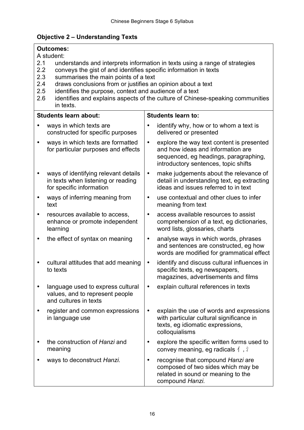### **Objective 2 – Understanding Texts**

| <b>Outcomes:</b><br>A student:<br>2.1<br>understands and interprets information in texts using a range of strategies<br>2.2<br>conveys the gist of and identifies specific information in texts<br>2.3<br>summarises the main points of a text<br>draws conclusions from or justifies an opinion about a text<br>2.4<br>2.5<br>identifies the purpose, context and audience of a text<br>2.6<br>identifies and explains aspects of the culture of Chinese-speaking communities |                                                                                                                                                                              |  |  |  |
|--------------------------------------------------------------------------------------------------------------------------------------------------------------------------------------------------------------------------------------------------------------------------------------------------------------------------------------------------------------------------------------------------------------------------------------------------------------------------------|------------------------------------------------------------------------------------------------------------------------------------------------------------------------------|--|--|--|
| in texts.<br><b>Students learn about:</b>                                                                                                                                                                                                                                                                                                                                                                                                                                      | <b>Students learn to:</b>                                                                                                                                                    |  |  |  |
| ways in which texts are<br>constructed for specific purposes                                                                                                                                                                                                                                                                                                                                                                                                                   | identify why, how or to whom a text is<br>$\bullet$<br>delivered or presented                                                                                                |  |  |  |
| ways in which texts are formatted<br>$\bullet$<br>for particular purposes and effects                                                                                                                                                                                                                                                                                                                                                                                          | explore the way text content is presented<br>$\bullet$<br>and how ideas and information are<br>sequenced, eg headings, paragraphing,<br>introductory sentences, topic shifts |  |  |  |
| ways of identifying relevant details<br>in texts when listening or reading<br>for specific information                                                                                                                                                                                                                                                                                                                                                                         | make judgements about the relevance of<br>$\bullet$<br>detail in understanding text, eg extracting<br>ideas and issues referred to in text                                   |  |  |  |
| ways of inferring meaning from<br>$\bullet$<br>text                                                                                                                                                                                                                                                                                                                                                                                                                            | use contextual and other clues to infer<br>$\bullet$<br>meaning from text                                                                                                    |  |  |  |
| resources available to access,<br>$\bullet$<br>enhance or promote independent<br>learning                                                                                                                                                                                                                                                                                                                                                                                      | access available resources to assist<br>$\bullet$<br>comprehension of a text, eg dictionaries,<br>word lists, glossaries, charts                                             |  |  |  |
| the effect of syntax on meaning<br>٠                                                                                                                                                                                                                                                                                                                                                                                                                                           | analyse ways in which words, phrases<br>$\bullet$<br>and sentences are constructed, eg how<br>words are modified for grammatical effect                                      |  |  |  |
| cultural attitudes that add meaning<br>$\bullet$<br>to texts                                                                                                                                                                                                                                                                                                                                                                                                                   | identify and discuss cultural influences in<br>$\bullet$<br>specific texts, eg newspapers,<br>magazines, advertisements and films                                            |  |  |  |
| language used to express cultural<br>values, and to represent people<br>and cultures in texts                                                                                                                                                                                                                                                                                                                                                                                  | explain cultural references in texts<br>$\bullet$                                                                                                                            |  |  |  |
| register and common expressions<br>in language use                                                                                                                                                                                                                                                                                                                                                                                                                             | explain the use of words and expressions<br>$\bullet$<br>with particular cultural significance in<br>texts, eg idiomatic expressions,<br>colloquialisms                      |  |  |  |
| the construction of Hanzi and<br>meaning                                                                                                                                                                                                                                                                                                                                                                                                                                       | explore the specific written forms used to<br>convey meaning, eg radicals $\langle , \rangle$                                                                                |  |  |  |
| ways to deconstruct Hanzi.                                                                                                                                                                                                                                                                                                                                                                                                                                                     | recognise that compound Hanzi are<br>composed of two sides which may be<br>related in sound or meaning to the<br>compound Hanzi.                                             |  |  |  |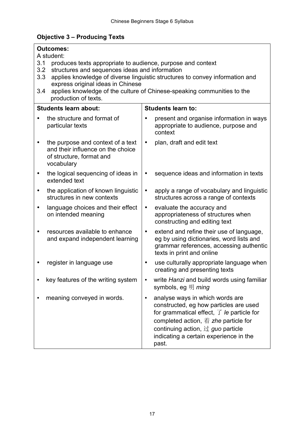## **Objective 3 – Producing Texts**

| <b>Outcomes:</b><br>A student:                                                                                                                                                                                                                                                                                                                                    |           |                                                                                                                                                                                                                                                                                      |  |  |
|-------------------------------------------------------------------------------------------------------------------------------------------------------------------------------------------------------------------------------------------------------------------------------------------------------------------------------------------------------------------|-----------|--------------------------------------------------------------------------------------------------------------------------------------------------------------------------------------------------------------------------------------------------------------------------------------|--|--|
| 3.1<br>produces texts appropriate to audience, purpose and context<br>structures and sequences ideas and information<br>3.2<br>applies knowledge of diverse linguistic structures to convey information and<br>3.3<br>express original ideas in Chinese<br>applies knowledge of the culture of Chinese-speaking communities to the<br>3.4<br>production of texts. |           |                                                                                                                                                                                                                                                                                      |  |  |
| <b>Students learn about:</b>                                                                                                                                                                                                                                                                                                                                      |           | <b>Students learn to:</b>                                                                                                                                                                                                                                                            |  |  |
| the structure and format of<br>particular texts                                                                                                                                                                                                                                                                                                                   |           | present and organise information in ways<br>appropriate to audience, purpose and<br>context                                                                                                                                                                                          |  |  |
| the purpose and context of a text<br>and their influence on the choice<br>of structure, format and<br>vocabulary                                                                                                                                                                                                                                                  | $\bullet$ | plan, draft and edit text                                                                                                                                                                                                                                                            |  |  |
| the logical sequencing of ideas in<br>extended text                                                                                                                                                                                                                                                                                                               |           | sequence ideas and information in texts                                                                                                                                                                                                                                              |  |  |
| the application of known linguistic<br>structures in new contexts                                                                                                                                                                                                                                                                                                 | $\bullet$ | apply a range of vocabulary and linguistic<br>structures across a range of contexts                                                                                                                                                                                                  |  |  |
| language choices and their effect<br>on intended meaning                                                                                                                                                                                                                                                                                                          | $\bullet$ | evaluate the accuracy and<br>appropriateness of structures when<br>constructing and editing text                                                                                                                                                                                     |  |  |
| resources available to enhance<br>and expand independent learning                                                                                                                                                                                                                                                                                                 | $\bullet$ | extend and refine their use of language,<br>eg by using dictionaries, word lists and<br>grammar references, accessing authentic<br>texts in print and online                                                                                                                         |  |  |
| register in language use                                                                                                                                                                                                                                                                                                                                          | ٠         | use culturally appropriate language when<br>creating and presenting texts                                                                                                                                                                                                            |  |  |
| key features of the writing system                                                                                                                                                                                                                                                                                                                                |           | write Hanzi and build words using familiar<br>symbols, eg 明 <i>ming</i>                                                                                                                                                                                                              |  |  |
| meaning conveyed in words.                                                                                                                                                                                                                                                                                                                                        | ٠         | analyse ways in which words are<br>constructed, eg how particles are used<br>for grammatical effect, $\overline{f}$ le particle for<br>completed action, $\ddot{\hat{\pi}}$ zhe particle for<br>continuing action, 过 guo particle<br>indicating a certain experience in the<br>past. |  |  |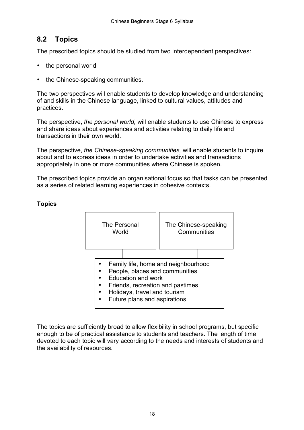### **8.2 Topics**

The prescribed topics should be studied from two interdependent perspectives:

- the personal world
- the Chinese-speaking communities.

The two perspectives will enable students to develop knowledge and understanding of and skills in the Chinese language, linked to cultural values, attitudes and practices.

The perspective, *the personal world,* will enable students to use Chinese to express and share ideas about experiences and activities relating to daily life and transactions in their own world.

The perspective, *the Chinese-speaking communities,* will enable students to inquire about and to express ideas in order to undertake activities and transactions appropriately in one or more communities where Chinese is spoken.

The prescribed topics provide an organisational focus so that tasks can be presented as a series of related learning experiences in cohesive contexts.



#### **Topics**

The topics are sufficiently broad to allow flexibility in school programs, but specific enough to be of practical assistance to students and teachers. The length of time devoted to each topic will vary according to the needs and interests of students and the availability of resources.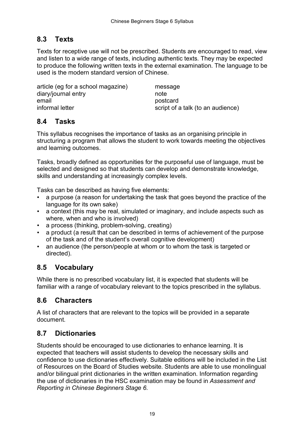### **8.3 Texts**

Texts for receptive use will not be prescribed. Students are encouraged to read, view and listen to a wide range of texts, including authentic texts. They may be expected to produce the following written texts in the external examination. The language to be used is the modern standard version of Chinese.

article (eg for a school magazine) message diary/journal entry note email **provided provided postcard** informal letter script of a talk (to an audience)

#### **8.4 Tasks**

This syllabus recognises the importance of tasks as an organising principle in structuring a program that allows the student to work towards meeting the objectives and learning outcomes.

Tasks, broadly defined as opportunities for the purposeful use of language, must be selected and designed so that students can develop and demonstrate knowledge, skills and understanding at increasingly complex levels.

Tasks can be described as having five elements:

- a purpose (a reason for undertaking the task that goes beyond the practice of the language for its own sake)
- a context (this may be real, simulated or imaginary, and include aspects such as where, when and who is involved)
- a process (thinking, problem-solving, creating)
- a product (a result that can be described in terms of achievement of the purpose of the task and of the student's overall cognitive development)
- an audience (the person/people at whom or to whom the task is targeted or directed).

### **8.5 Vocabulary**

While there is no prescribed vocabulary list, it is expected that students will be familiar with a range of vocabulary relevant to the topics prescribed in the syllabus.

#### **8.6 Characters**

A list of characters that are relevant to the topics will be provided in a separate document.

### **8.7 Dictionaries**

Students should be encouraged to use dictionaries to enhance learning. It is expected that teachers will assist students to develop the necessary skills and confidence to use dictionaries effectively. Suitable editions will be included in the List of Resources on the Board of Studies website. Students are able to use monolingual and/or bilingual print dictionaries in the written examination. Information regarding the use of dictionaries in the HSC examination may be found in *Assessment and Reporting in Chinese Beginners Stage 6.*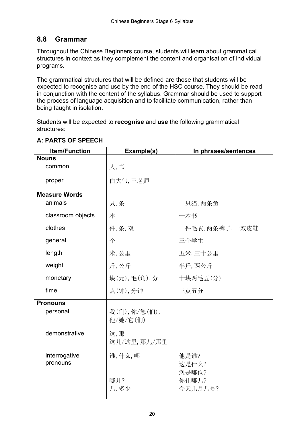### **8.8 Grammar**

Throughout the Chinese Beginners course, students will learn about grammatical structures in context as they complement the content and organisation of individual programs.

The grammatical structures that will be defined are those that students will be expected to recognise and use by the end of the HSC course. They should be read in conjunction with the content of the syllabus. Grammar should be used to support the process of language acquisition and to facilitate communication, rather than being taught in isolation.

Students will be expected to **recognise** and **use** the following grammatical structures:

| <b>Item/Function</b>      | Example(s)               | In phrases/sentences      |  |
|---------------------------|--------------------------|---------------------------|--|
| <b>Nouns</b>              |                          |                           |  |
| common                    | 人,书                      |                           |  |
| proper                    | 白大伟,王老师                  |                           |  |
| Measure Words             |                          |                           |  |
| animals                   | 只,条                      | 一只猫, 两条鱼                  |  |
| classroom objects         | 本                        | 一本书                       |  |
| clothes                   | 件,条,双                    | 一件毛衣, 两条裤子, 一双皮鞋          |  |
| general                   | 个                        | 三个学生                      |  |
| length                    | 米,公里                     | 五米,三十公里                   |  |
| weight                    | 斤,公斤                     | 半斤,两公斤                    |  |
| monetary                  | 块(元),毛(角),分              | 十块两毛五(分)                  |  |
| time                      | 点(钟),分钟                  | 三点五分                      |  |
| <b>Pronouns</b>           |                          |                           |  |
| personal                  | 我(们),你/您(们),<br>他/她/它(们) |                           |  |
| demonstrative             | 这,那<br>这儿/这里,那儿/那里       |                           |  |
| interrogative<br>pronouns | 谁,什么,哪                   | 他是谁?<br>这是什么?             |  |
|                           | 哪儿?<br>几,多少              | 您是哪位?<br>你住哪儿?<br>今天几月几号? |  |

#### **A: PARTS OF SPEECH**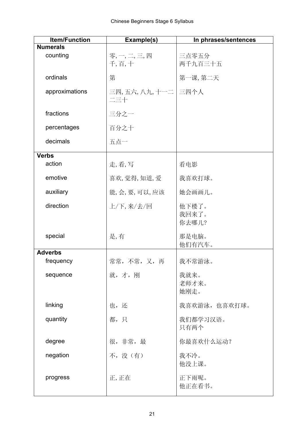| <b>Item/Function</b> | Example(s)          | In phrases/sentences    |
|----------------------|---------------------|-------------------------|
| <b>Numerals</b>      |                     |                         |
| counting             | 零,一,二,三,四<br>千,百,十  | 三点零五分<br>两千九百三十五        |
| ordinals             | 第                   | 第一课,第二天                 |
| approximations       | 三四,五六,八九,十一二<br>二三十 | 三四个人                    |
| fractions            | 三分之一                |                         |
| percentages          | 百分之十                |                         |
| decimals             | 五点一                 |                         |
| <b>Verbs</b>         |                     |                         |
| action               | 走,看,写               | 看电影                     |
| emotive              | 喜欢, 觉得, 知道, 爱       | 我喜欢打球。                  |
| auxiliary            | 能,会,要,可以,应该         | 她会画画儿。                  |
| direction            | 上/下,来/去/回           | 他下楼了。<br>我回来了。<br>你去哪儿? |
| special              | 是,有                 | 那是电脑。<br>他们有汽车。         |
| <b>Adverbs</b>       |                     |                         |
| frequency            | 常常,不常,又,再           | 我不常游泳。                  |
| sequence             | 就,才,刚               | 我就来。<br>老师才来。<br>她刚走。   |
| linking              | 也,还                 | 我喜欢游泳, 也喜欢打球。           |
| quantity             | 都,只                 | 我们都学习汉语。<br>只有两个        |
| degree               | 很,非常,最              | 你最喜欢什么运动?               |
| negation             | 不,没(有)              | 我不冷。<br>他没上课。           |
| progress             | 正,正在                | 正下雨呢。<br>他正在看书。         |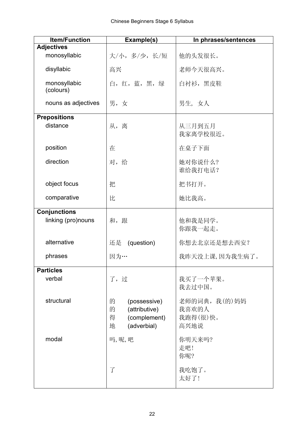| <b>Item/Function</b>      | Example(s)                                                                       | In phrases/sentences                       |
|---------------------------|----------------------------------------------------------------------------------|--------------------------------------------|
| <b>Adjectives</b>         |                                                                                  |                                            |
| monosyllabic              | 大/小,多/少,长/短                                                                      | 他的头发很长。                                    |
| disyllabic                | 高兴                                                                               | 老师今天很高兴。                                   |
| monosyllabic<br>(colours) | 白, 红, 蓝, 黑, 绿                                                                    | 白衬衫,黑皮鞋                                    |
| nouns as adjectives       | 男,女                                                                              | 男生,女人                                      |
| <b>Prepositions</b>       |                                                                                  |                                            |
| distance                  | 从,离                                                                              | 从三月到五月<br>我家离学校很近。                         |
| position                  | 在                                                                                | 在桌子下面                                      |
| direction                 | 对,给                                                                              | 她对你说什么?<br>谁给我打电话?                         |
| object focus              | 把                                                                                | 把书打开。                                      |
| comparative               | 比                                                                                | 她比我高。                                      |
| <b>Conjunctions</b>       |                                                                                  |                                            |
| linking (pro)nouns        | 和, 跟                                                                             | 他和我是同学。<br>你跟我一起走。                         |
| alternative               | 还是<br>(question)                                                                 | 你想去北京还是想去西安?                               |
| phrases                   | 因为…                                                                              | 我昨天没上课,因为我生病了。                             |
| <b>Particles</b>          |                                                                                  |                                            |
| verbal                    | 了,过                                                                              | 我买了一个苹果。<br>我去过中国。                         |
| structural                | 的<br>(possessive)<br>的<br>(attributive)<br>(complement)<br>得<br>(adverbial)<br>地 | 老师的词典, 我(的)妈妈<br>我喜欢的人<br>我跑得(很)快。<br>高兴地说 |
| modal                     | 吗,呢,吧                                                                            | 你明天来吗?<br>走吧!<br>你呢?                       |
|                           | $\overline{J}$                                                                   | 我吃饱了。<br>太好了!                              |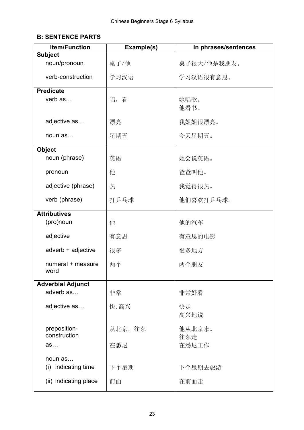### **B: SENTENCE PARTS**

| <b>Item/Function</b>              | Example(s) | In phrases/sentences |
|-----------------------------------|------------|----------------------|
| <b>Subject</b>                    |            |                      |
| noun/pronoun                      | 桌子/他       | 桌子很大/他是我朋友。          |
| verb-construction                 | 学习汉语       | 学习汉语很有意思。            |
| <b>Predicate</b>                  |            |                      |
| verb as                           | 唱,看        | 她唱歌。<br>他看书。         |
| adjective as                      | 漂亮         | 我姐姐很漂亮。              |
| noun as                           | 星期五        | 今天星期五。               |
| <b>Object</b>                     |            |                      |
| noun (phrase)                     | 英语         | 她会说英语。               |
| pronoun                           | 他          | 爸爸叫他。                |
| adjective (phrase)                | 热          | 我觉得很热。               |
| verb (phrase)                     | 打乒乓球       | 他们喜欢打乒乓球。            |
| <b>Attributives</b>               |            |                      |
| (pro)noun                         | 他          | 他的汽车                 |
| adjective                         | 有意思        | 有意思的电影               |
| adverb + adjective                | 很多         | 很多地方                 |
| numeral + measure<br>word         | 两个         | 两个朋友                 |
| <b>Adverbial Adjunct</b>          |            |                      |
| adverb as                         | 非常         | 非常好看                 |
| adjective as                      | 快,高兴       | 快走<br>高兴地说           |
| preposition-<br>construction      | 从北京, 往东    | 他从北京来。<br>往东走        |
| as                                | 在悉尼        | 在悉尼工作                |
| noun as<br>indicating time<br>(i) | 下个星期       | 下个星期去旅游              |
| (ii) indicating place             | 前面         | 在前面走                 |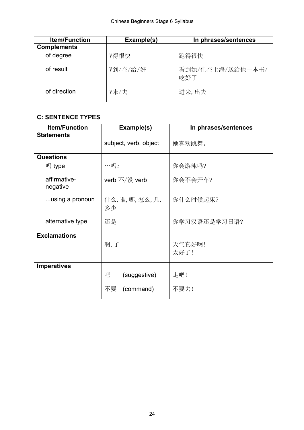| <b>Item/Function</b> | Example(s) | In phrases/sentences    |
|----------------------|------------|-------------------------|
| <b>Complements</b>   |            |                         |
| of degree            | V得很快       | 跑得很快                    |
| of result            | V到/在/给/好   | 看到她/住在上海/送给他一本书/<br>吃好了 |
| of direction         | V来/去       | 进来,出去                   |

### **C: SENTENCE TYPES**

| <b>Item/Function</b>     | Example(s)                           | In phrases/sentences |
|--------------------------|--------------------------------------|----------------------|
| <b>Statements</b>        | subject, verb, object                | 她喜欢跳舞。               |
| <b>Questions</b>         |                                      |                      |
| 吗 type                   | $\cdots \Box 2$                      | 你会游泳吗?               |
| affirmative-<br>negative | verb 不/没 verb                        | 你会不会开车?              |
| using a pronoun          | 什么,谁,哪,怎么,几,<br>多少                   | 你什么时候起床?             |
| alternative type         | 还是                                   | 你学习汉语还是学习日语?         |
| <b>Exclamations</b>      | 啊,了                                  | 天气真好啊!<br>太好了!       |
| <b>Imperatives</b>       | 吧<br>(suggestive)<br>不要<br>(command) | 走吧!<br>不要去!          |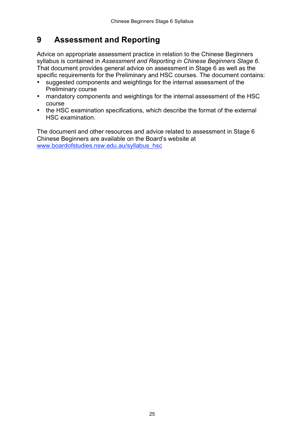## **9 Assessment and Reporting**

Advice on appropriate assessment practice in relation to the Chinese Beginners syllabus is contained in *Assessment and Reporting in Chinese Beginners Stage 6*. That document provides general advice on assessment in Stage 6 as well as the specific requirements for the Preliminary and HSC courses. The document contains:

- suggested components and weightings for the internal assessment of the Preliminary course
- mandatory components and weightings for the internal assessment of the HSC course
- the HSC examination specifications, which describe the format of the external HSC examination.

The document and other resources and advice related to assessment in Stage 6 Chinese Beginners are available on the Board's website at www.boardofstudies.nsw.edu.au/syllabus\_hsc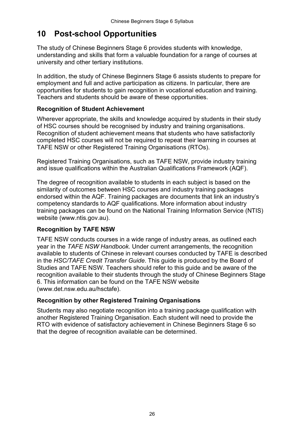## **10 Post-school Opportunities**

The study of Chinese Beginners Stage 6 provides students with knowledge, understanding and skills that form a valuable foundation for a range of courses at university and other tertiary institutions.

In addition, the study of Chinese Beginners Stage 6 assists students to prepare for employment and full and active participation as citizens. In particular, there are opportunities for students to gain recognition in vocational education and training. Teachers and students should be aware of these opportunities.

#### **Recognition of Student Achievement**

Wherever appropriate, the skills and knowledge acquired by students in their study of HSC courses should be recognised by industry and training organisations. Recognition of student achievement means that students who have satisfactorily completed HSC courses will not be required to repeat their learning in courses at TAFE NSW or other Registered Training Organisations (RTOs).

Registered Training Organisations, such as TAFE NSW, provide industry training and issue qualifications within the Australian Qualifications Framework (AQF).

The degree of recognition available to students in each subject is based on the similarity of outcomes between HSC courses and industry training packages endorsed within the AQF. Training packages are documents that link an industry's competency standards to AQF qualifications. More information about industry training packages can be found on the National Training Information Service (NTIS) website (www.ntis.gov.au).

#### **Recognition by TAFE NSW**

TAFE NSW conducts courses in a wide range of industry areas, as outlined each year in the *TAFE NSW Handbook.* Under current arrangements, the recognition available to students of Chinese in relevant courses conducted by TAFE is described in the *HSC/TAFE Credit Transfer Guide*. This guide is produced by the Board of Studies and TAFE NSW. Teachers should refer to this guide and be aware of the recognition available to their students through the study of Chinese Beginners Stage 6. This information can be found on the TAFE NSW website (www.det.nsw.edu.au/hsctafe).

#### **Recognition by other Registered Training Organisations**

Students may also negotiate recognition into a training package qualification with another Registered Training Organisation. Each student will need to provide the RTO with evidence of satisfactory achievement in Chinese Beginners Stage 6 so that the degree of recognition available can be determined.